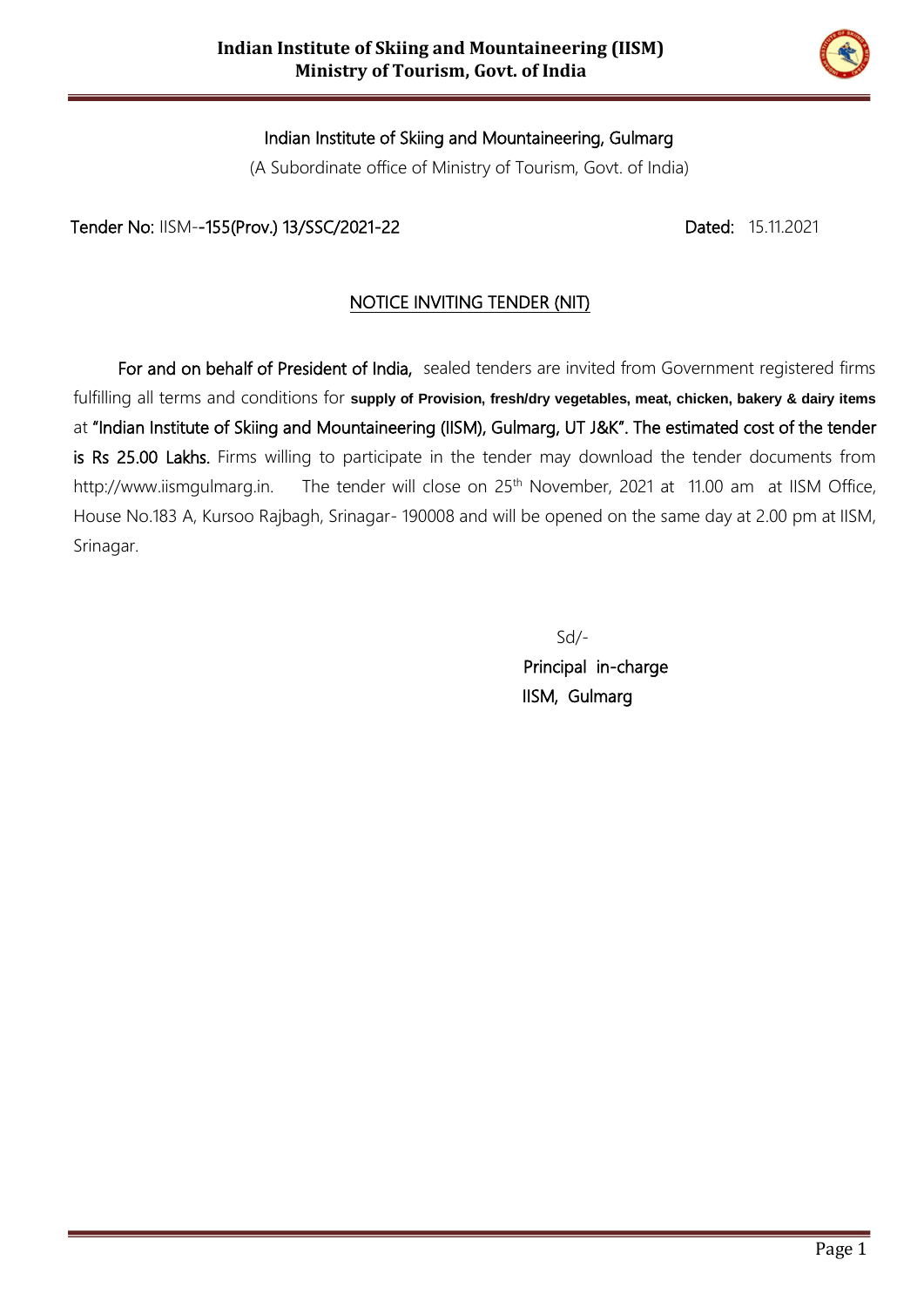

#### Indian Institute of Skiing and Mountaineering, Gulmarg

(A Subordinate office of Ministry of Tourism, Govt. of India)

#### Tender No: IISM--155(Prov.) 13/SSC/2021-22 Dated: 15.11.2021

## NOTICE INVITING TENDER (NIT)

For and on behalf of President of India, sealed tenders are invited from Government registered firms fulfilling all terms and conditions for **supply of Provision, fresh/dry vegetables, meat, chicken, bakery & dairy items** at "Indian Institute of Skiing and Mountaineering (IISM), Gulmarg, UT J&K". The estimated cost of the tender is Rs 25.00 Lakhs. Firms willing to participate in the tender may download the tender documents from http://www.iismgulmarg.in. The tender will close on 25<sup>th</sup> November, 2021 at 11.00 am at IISM Office, House No.183 A, Kursoo Rajbagh, Srinagar- 190008 and will be opened on the same day at 2.00 pm at IISM, Srinagar.

> Sd/- Principal in-charge IISM, Gulmarg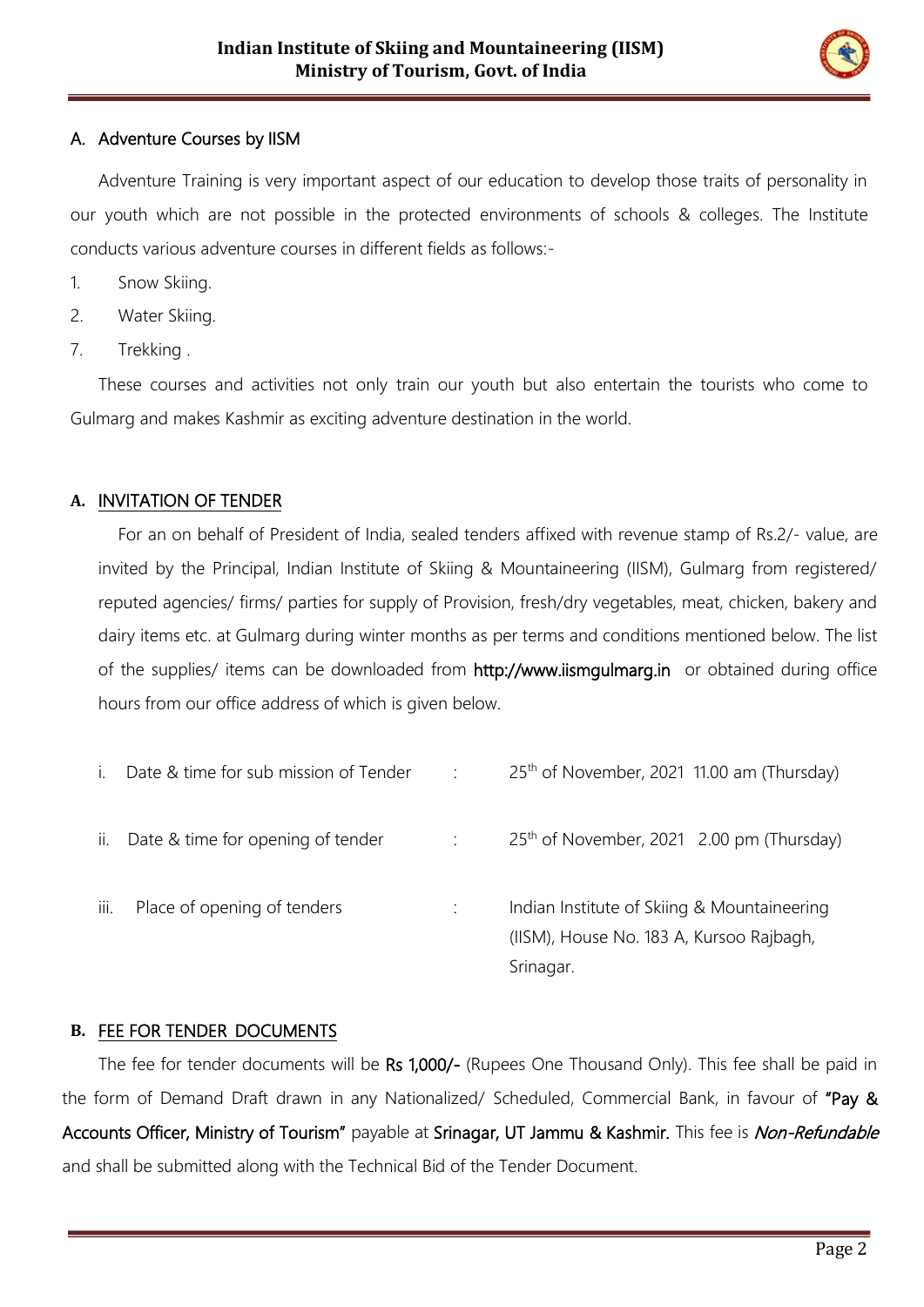

### A. Adventure Courses by IISM

Adventure Training is very important aspect of our education to develop those traits of personality in our youth which are not possible in the protected environments of schools & colleges. The Institute conducts various adventure courses in different fields as follows:-

- 1. Snow Skiing.
- 2. Water Skiing.
- 7. Trekking .

These courses and activities not only train our youth but also entertain the tourists who come to Gulmarg and makes Kashmir as exciting adventure destination in the world.

### **A.** INVITATION OF TENDER

For an on behalf of President of India, sealed tenders affixed with revenue stamp of Rs.2/- value, are invited by the Principal, Indian Institute of Skiing & Mountaineering (IISM), Gulmarg from registered/ reputed agencies/ firms/ parties for supply of Provision, fresh/dry vegetables, meat, chicken, bakery and dairy items etc. at Gulmarg during winter months as per terms and conditions mentioned below. The list of the supplies/ items can be downloaded from http://www.iismgulmarg.in or obtained during office hours from our office address of which is given below.

| Ĺ.   | Date & time for sub mission of Tender | 25 <sup>th</sup> of November, 2021 11.00 am (Thursday)                                               |
|------|---------------------------------------|------------------------------------------------------------------------------------------------------|
| ii.  | Date & time for opening of tender     | 25 <sup>th</sup> of November, 2021 2.00 pm (Thursday)                                                |
| iii. | Place of opening of tenders           | Indian Institute of Skiing & Mountaineering<br>(IISM), House No. 183 A, Kursoo Rajbagh,<br>Srinagar. |

#### **B.** FEE FOR TENDER DOCUMENTS

The fee for tender documents will be Rs 1,000/- (Rupees One Thousand Only). This fee shall be paid in the form of Demand Draft drawn in any Nationalized/ Scheduled, Commercial Bank, in favour of "Pay & Accounts Officer, Ministry of Tourism" payable at Srinagar, UT Jammu & Kashmir. This fee is Non-Refundable and shall be submitted along with the Technical Bid of the Tender Document.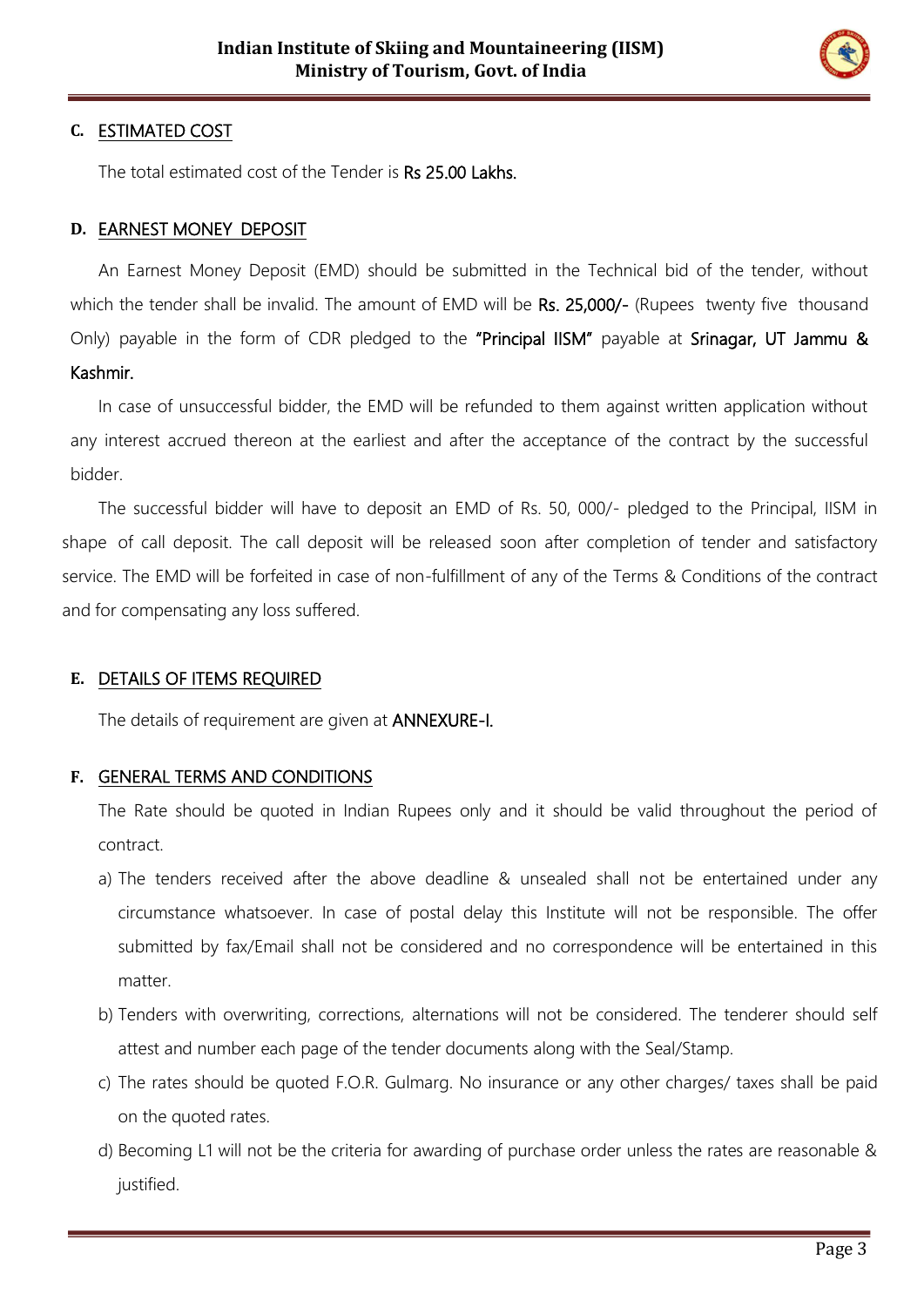

#### **C.** ESTIMATED COST

The total estimated cost of the Tender is Rs 25.00 Lakhs.

#### **D.** EARNEST MONEY DEPOSIT

An Earnest Money Deposit (EMD) should be submitted in the Technical bid of the tender, without which the tender shall be invalid. The amount of EMD will be Rs. 25,000/- (Rupees twenty five thousand Only) payable in the form of CDR pledged to the "Principal IISM" payable at Srinagar, UT Jammu & Kashmir.

In case of unsuccessful bidder, the EMD will be refunded to them against written application without any interest accrued thereon at the earliest and after the acceptance of the contract by the successful bidder.

The successful bidder will have to deposit an EMD of Rs. 50, 000/- pledged to the Principal, IISM in shape of call deposit. The call deposit will be released soon after completion of tender and satisfactory service. The EMD will be forfeited in case of non-fulfillment of any of the Terms & Conditions of the contract and for compensating any loss suffered.

#### **E.** DETAILS OF ITEMS REQUIRED

The details of requirement are given at ANNEXURE-I.

#### **F.** GENERAL TERMS AND CONDITIONS

The Rate should be quoted in Indian Rupees only and it should be valid throughout the period of contract.

- a) The tenders received after the above deadline & unsealed shall not be entertained under any circumstance whatsoever. In case of postal delay this Institute will not be responsible. The offer submitted by fax/Email shall not be considered and no correspondence will be entertained in this matter.
- b) Tenders with overwriting, corrections, alternations will not be considered. The tenderer should self attest and number each page of the tender documents along with the Seal/Stamp.
- c) The rates should be quoted F.O.R. Gulmarg. No insurance or any other charges/ taxes shall be paid on the quoted rates.
- d) Becoming L1 will not be the criteria for awarding of purchase order unless the rates are reasonable & justified.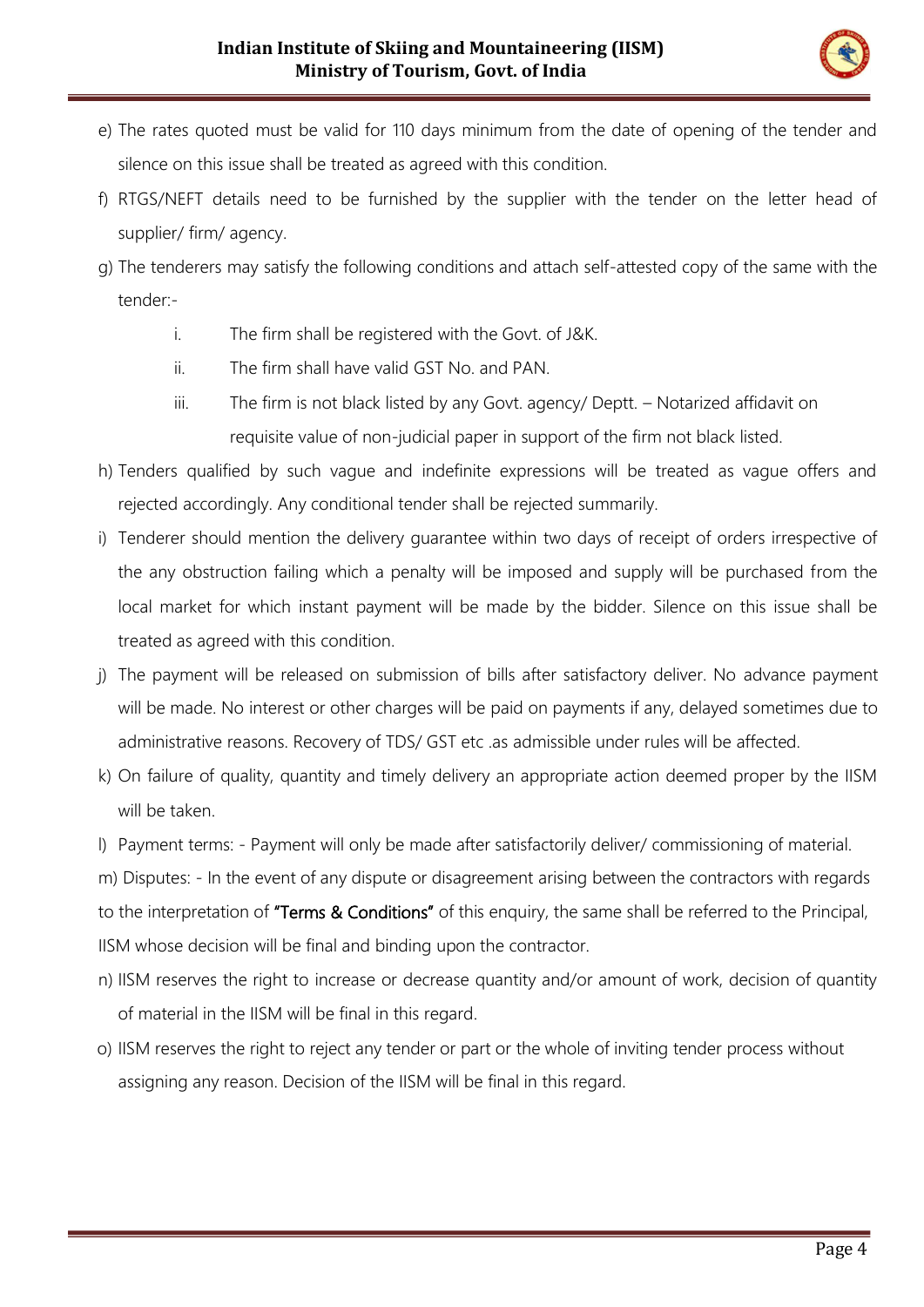

- e) The rates quoted must be valid for 110 days minimum from the date of opening of the tender and silence on this issue shall be treated as agreed with this condition.
- f) RTGS/NEFT details need to be furnished by the supplier with the tender on the letter head of supplier/ firm/ agency.
- g) The tenderers may satisfy the following conditions and attach self-attested copy of the same with the tender:
	- i. The firm shall be registered with the Govt. of J&K.
	- ii. The firm shall have valid GST No. and PAN.
	- iii. The firm is not black listed by any Govt. agency/ Deptt. Notarized affidavit on requisite value of non-judicial paper in support of the firm not black listed.
- h) Tenders qualified by such vague and indefinite expressions will be treated as vague offers and rejected accordingly. Any conditional tender shall be rejected summarily.
- i) Tenderer should mention the delivery guarantee within two days of receipt of orders irrespective of the any obstruction failing which a penalty will be imposed and supply will be purchased from the local market for which instant payment will be made by the bidder. Silence on this issue shall be treated as agreed with this condition.
- j) The payment will be released on submission of bills after satisfactory deliver. No advance payment will be made. No interest or other charges will be paid on payments if any, delayed sometimes due to administrative reasons. Recovery of TDS/ GST etc .as admissible under rules will be affected.
- k) On failure of quality, quantity and timely delivery an appropriate action deemed proper by the IISM will be taken.
- l) Payment terms: Payment will only be made after satisfactorily deliver/ commissioning of material.

m) Disputes: - In the event of any dispute or disagreement arising between the contractors with regards to the interpretation of "Terms & Conditions" of this enquiry, the same shall be referred to the Principal, IISM whose decision will be final and binding upon the contractor.

- n) IISM reserves the right to increase or decrease quantity and/or amount of work, decision of quantity of material in the IISM will be final in this regard.
- o) IISM reserves the right to reject any tender or part or the whole of inviting tender process without assigning any reason. Decision of the IISM will be final in this regard.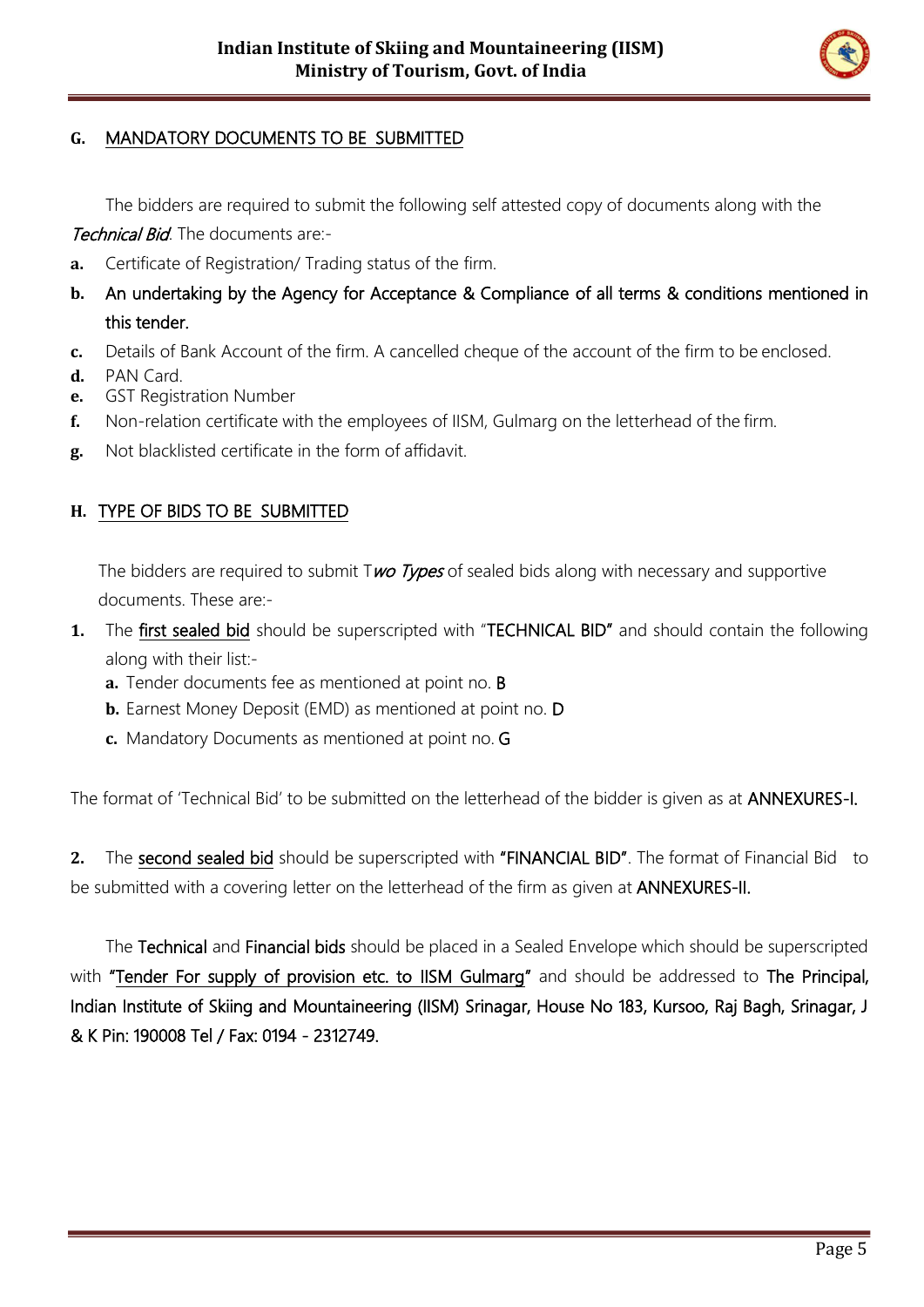

## **G.** MANDATORY DOCUMENTS TO BE SUBMITTED

The bidders are required to submit the following self attested copy of documents along with the Technical Bid. The documents are:-

- **a.** Certificate of Registration/ Trading status of the firm.
- **b.** An undertaking by the Agency for Acceptance & Compliance of all terms & conditions mentioned in this tender.
- **c.** Details of Bank Account of the firm. A cancelled cheque of the account of the firm to be enclosed.
- **d.** PAN Card.
- **e.** GST Registration Number
- **f.** Non-relation certificate with the employees of IISM, Gulmarg on the letterhead of the firm.
- **g.** Not blacklisted certificate in the form of affidavit.

## **H.** TYPE OF BIDS TO BE SUBMITTED

The bidders are required to submit  $Tw\sigma$  Types of sealed bids along with necessary and supportive documents. These are:-

- **1.** The first sealed bid should be superscripted with "TECHNICAL BID" and should contain the following along with their list:
	- **a.** Tender documents fee as mentioned at point no. B
	- **b.** Earnest Money Deposit (EMD) as mentioned at point no. D
	- **c.** Mandatory Documents as mentioned at point no. G

The format of 'Technical Bid' to be submitted on the letterhead of the bidder is given as at ANNEXURES-I.

**2.** The second sealed bid should be superscripted with "FINANCIAL BID". The format of Financial Bid to be submitted with a covering letter on the letterhead of the firm as given at **ANNEXURES-II.** 

The Technical and Financial bids should be placed in a Sealed Envelope which should be superscripted with "Tender For supply of provision etc. to IISM Gulmarg" and should be addressed to The Principal, Indian Institute of Skiing and Mountaineering (IISM) Srinagar, House No 183, Kursoo, Raj Bagh, Srinagar, J & K Pin: 190008 Tel / Fax: 0194 - 2312749.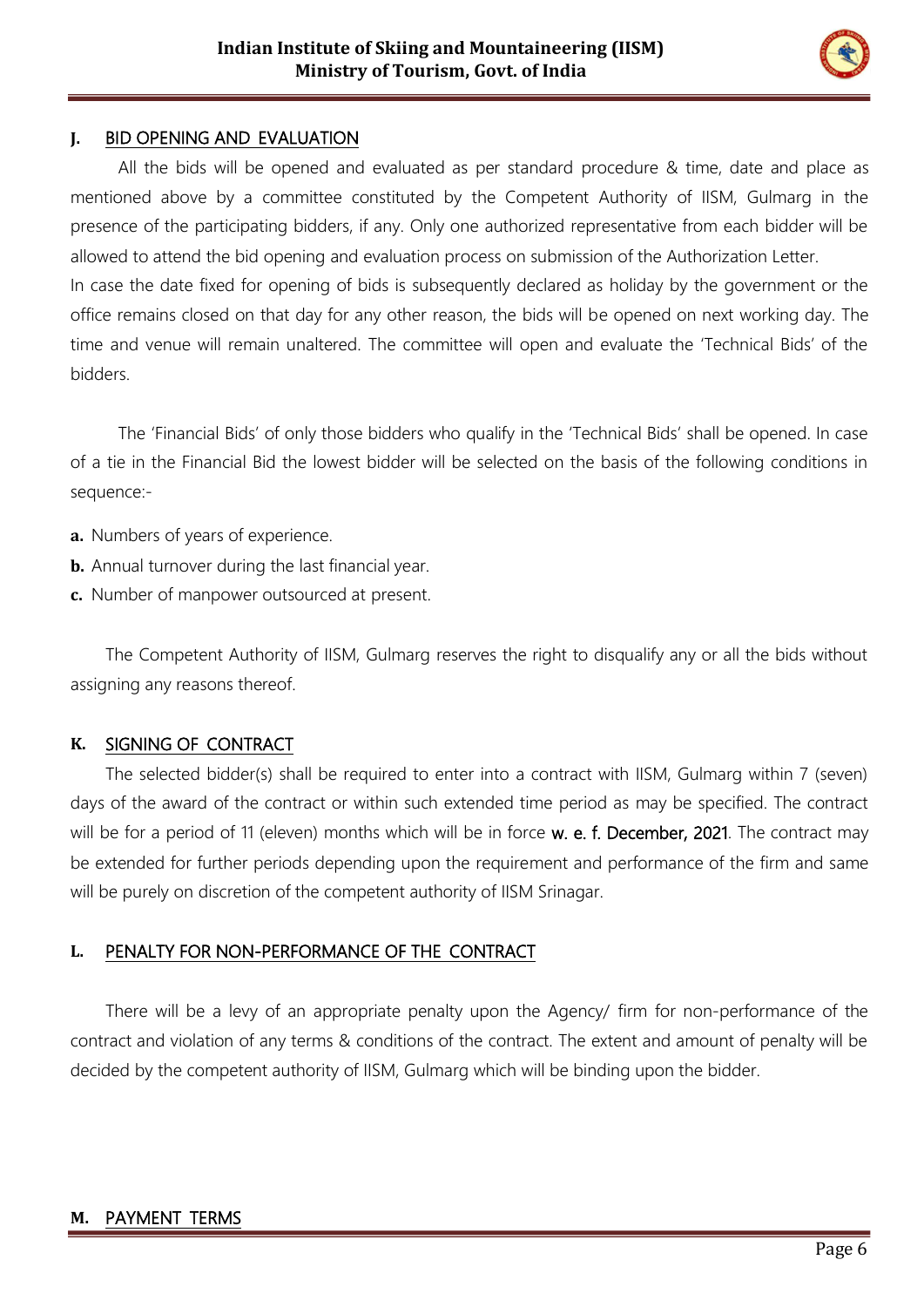

#### **J.** BID OPENING AND EVALUATION

All the bids will be opened and evaluated as per standard procedure & time, date and place as mentioned above by a committee constituted by the Competent Authority of IISM, Gulmarg in the presence of the participating bidders, if any. Only one authorized representative from each bidder will be allowed to attend the bid opening and evaluation process on submission of the Authorization Letter. In case the date fixed for opening of bids is subsequently declared as holiday by the government or the office remains closed on that day for any other reason, the bids will be opened on next working day. The time and venue will remain unaltered. The committee will open and evaluate the 'Technical Bids' of the bidders.

The 'Financial Bids' of only those bidders who qualify in the 'Technical Bids' shall be opened. In case of a tie in the Financial Bid the lowest bidder will be selected on the basis of the following conditions in sequence:-

- **a.** Numbers of years of experience.
- **b.** Annual turnover during the last financial year.
- **c.** Number of manpower outsourced at present.

The Competent Authority of IISM, Gulmarg reserves the right to disqualify any or all the bids without assigning any reasons thereof.

## **K.** SIGNING OF CONTRACT

The selected bidder(s) shall be required to enter into a contract with IISM, Gulmarg within 7 (seven) days of the award of the contract or within such extended time period as may be specified. The contract will be for a period of 11 (eleven) months which will be in force w. e. f. December, 2021. The contract may be extended for further periods depending upon the requirement and performance of the firm and same will be purely on discretion of the competent authority of IISM Srinagar.

#### **L.** PENALTY FOR NON-PERFORMANCE OF THE CONTRACT

There will be a levy of an appropriate penalty upon the Agency/ firm for non-performance of the contract and violation of any terms & conditions of the contract. The extent and amount of penalty will be decided by the competent authority of IISM, Gulmarg which will be binding upon the bidder.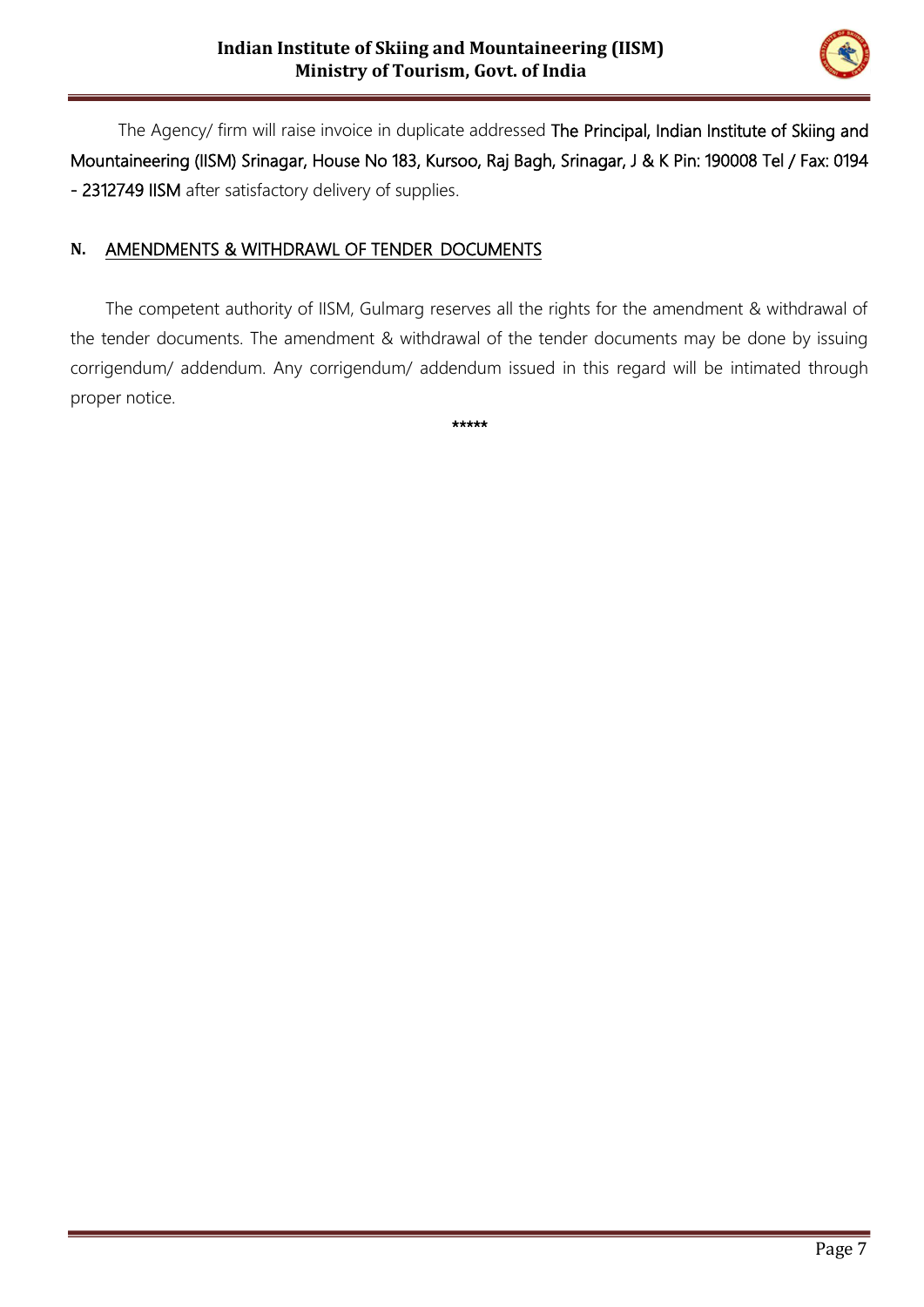

The Agency/ firm will raise invoice in duplicate addressed The Principal, Indian Institute of Skiing and Mountaineering (IISM) Srinagar, House No 183, Kursoo, Raj Bagh, Srinagar, J & K Pin: 190008 Tel / Fax: 0194 - 2312749 IISM after satisfactory delivery of supplies.

## **N.** AMENDMENTS & WITHDRAWL OF TENDER DOCUMENTS

The competent authority of IISM, Gulmarg reserves all the rights for the amendment & withdrawal of the tender documents. The amendment & withdrawal of the tender documents may be done by issuing corrigendum/ addendum. Any corrigendum/ addendum issued in this regard will be intimated through proper notice.

\*\*\*\*\*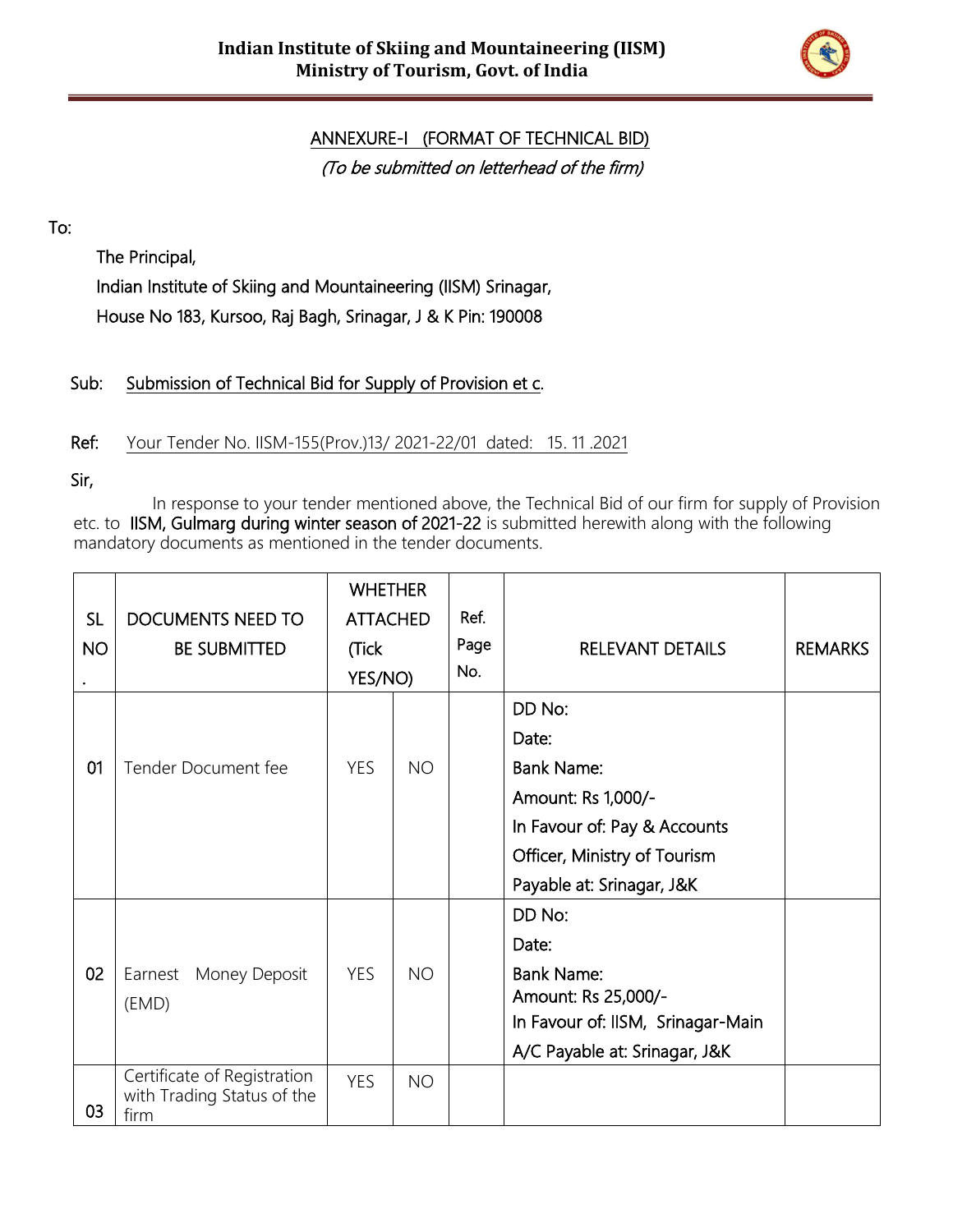

## ANNEXURE-I (FORMAT OF TECHNICAL BID)

(To be submitted on letterhead of the firm)

To:

The Principal,

Indian Institute of Skiing and Mountaineering (IISM) Srinagar, House No 183, Kursoo, Raj Bagh, Srinagar, J & K Pin: 190008

## Sub: Submission of Technical Bid for Supply of Provision et c.

Ref: Your Tender No. IISM-155(Prov.)13/ 2021-22/01 dated: 15. 11 .2021

Sir,

In response to your tender mentioned above, the Technical Bid of our firm for supply of Provision etc. to IISM, Gulmarg during winter season of 2021-22 is submitted herewith along with the following mandatory documents as mentioned in the tender documents.

| <b>SL</b><br><b>NO</b> | DOCUMENTS NEED TO<br><b>BE SUBMITTED</b>                          | <b>WHETHER</b><br><b>ATTACHED</b><br>(Tick<br>YES/NO) |           | Ref.<br>Page<br>No. | <b>RELEVANT DETAILS</b>                                                                                                                                 | <b>REMARKS</b> |
|------------------------|-------------------------------------------------------------------|-------------------------------------------------------|-----------|---------------------|---------------------------------------------------------------------------------------------------------------------------------------------------------|----------------|
| 01                     | Tender Document fee                                               | <b>YES</b>                                            | <b>NO</b> |                     | DD No:<br>Date:<br><b>Bank Name:</b><br>Amount: Rs 1,000/-<br>In Favour of: Pay & Accounts<br>Officer, Ministry of Tourism<br>Payable at: Srinagar, J&K |                |
| 02                     | Money Deposit<br>Earnest<br>(EMD)                                 | <b>YES</b>                                            | <b>NO</b> |                     | DD No:<br>Date:<br><b>Bank Name:</b><br>Amount: Rs 25,000/-<br>In Favour of: IISM, Srinagar-Main<br>A/C Payable at: Srinagar, J&K                       |                |
| 03                     | Certificate of Registration<br>with Trading Status of the<br>firm | <b>YES</b>                                            | <b>NO</b> |                     |                                                                                                                                                         |                |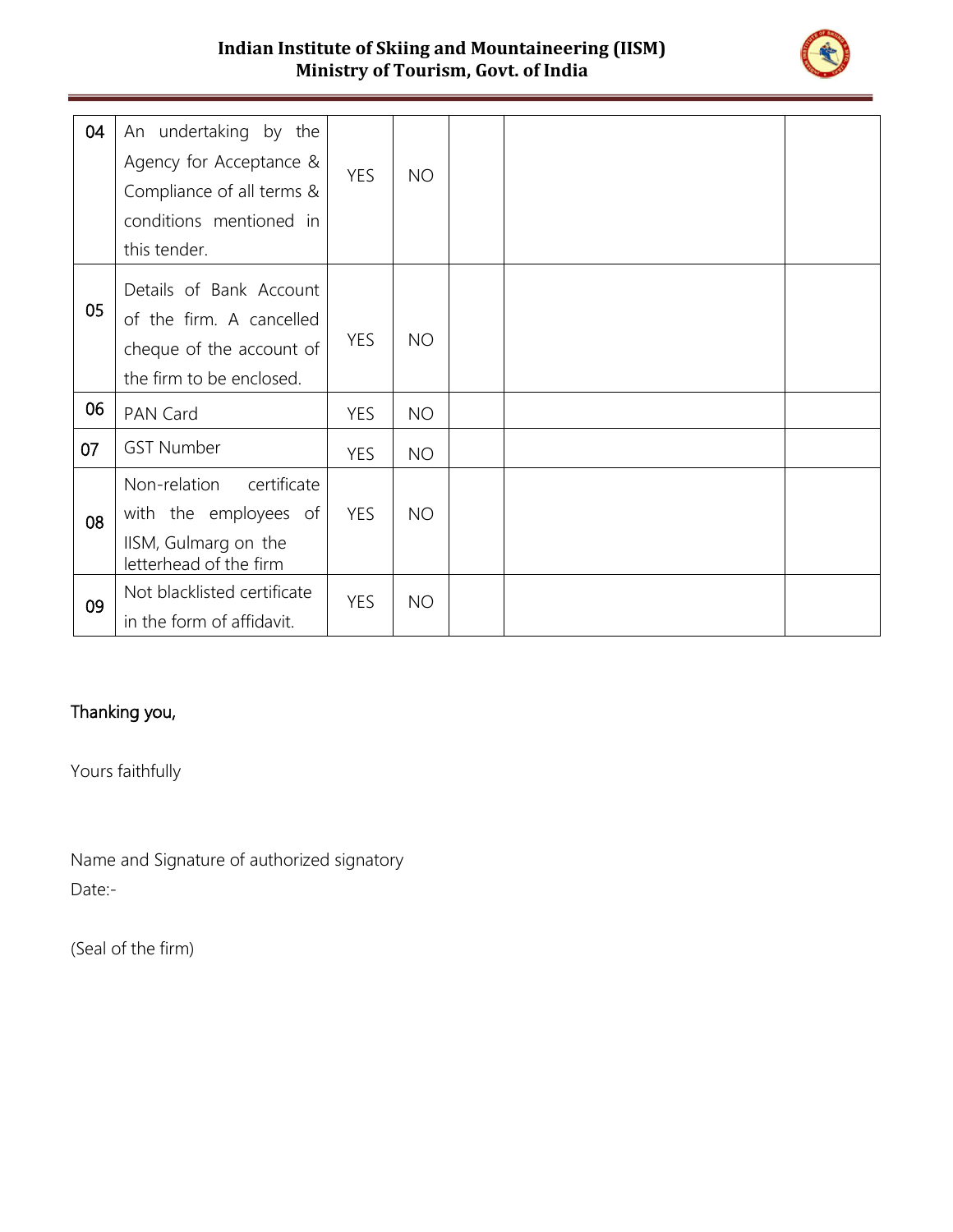

| 04 | An undertaking by the<br>Agency for Acceptance &<br>Compliance of all terms &<br>conditions mentioned in<br>this tender. | <b>YES</b> | <b>NO</b> |  |  |
|----|--------------------------------------------------------------------------------------------------------------------------|------------|-----------|--|--|
| 05 | Details of Bank Account<br>of the firm. A cancelled<br>cheque of the account of<br>the firm to be enclosed.              | YES        | <b>NO</b> |  |  |
| 06 | PAN Card                                                                                                                 | <b>YES</b> | <b>NO</b> |  |  |
| 07 | <b>GST Number</b>                                                                                                        | <b>YES</b> | <b>NO</b> |  |  |
| 08 | certificate<br>Non-relation<br>with the employees of<br>IISM, Gulmarg on the<br>letterhead of the firm                   | <b>YES</b> | <b>NO</b> |  |  |
| 09 | Not blacklisted certificate<br>in the form of affidavit.                                                                 | <b>YES</b> | <b>NO</b> |  |  |

# Thanking you,

Yours faithfully

Name and Signature of authorized signatory Date:-

(Seal of the firm)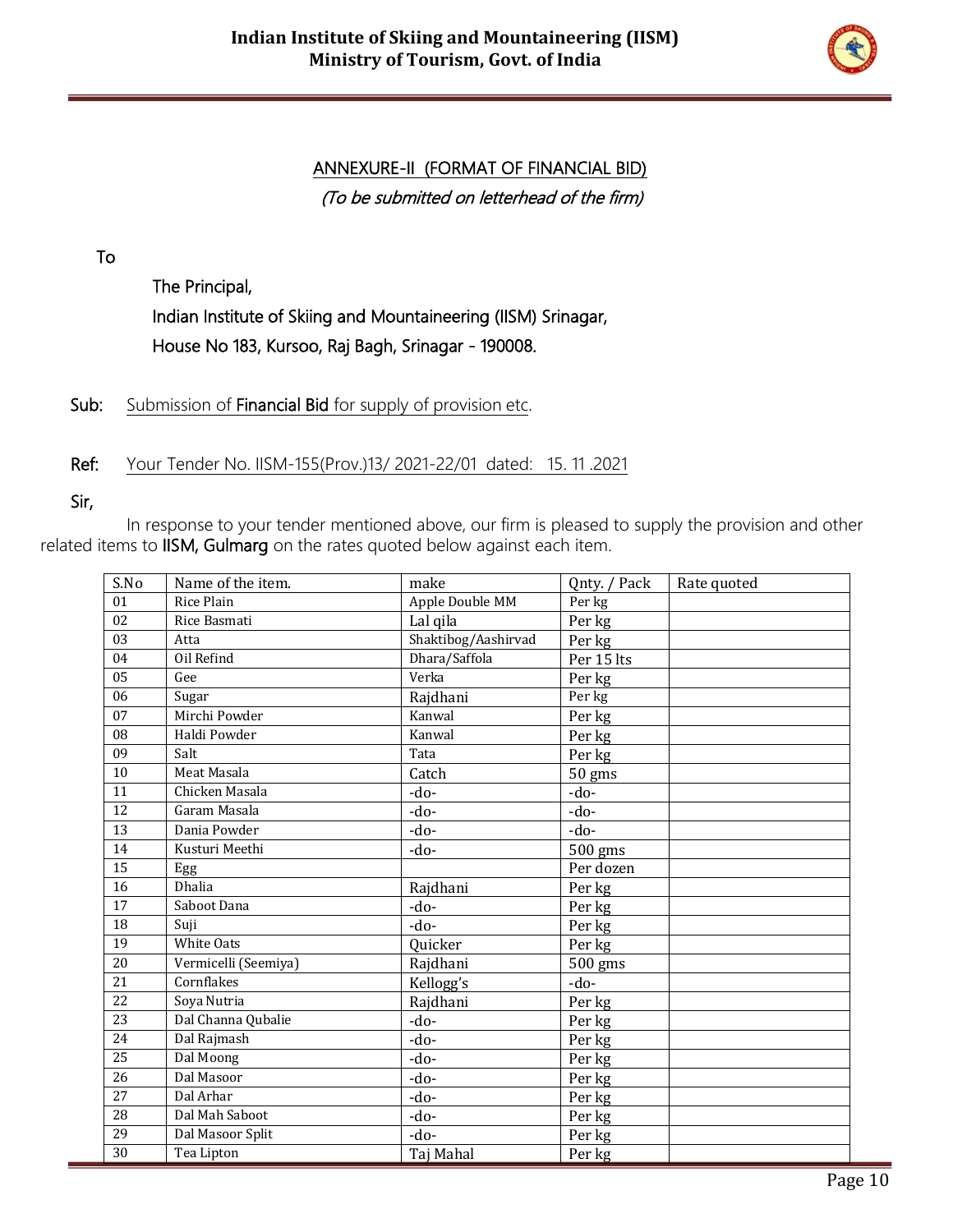

## ANNEXURE-II (FORMAT OF FINANCIAL BID) (To be submitted on letterhead of the firm)

To

The Principal, Indian Institute of Skiing and Mountaineering (IISM) Srinagar, House No 183, Kursoo, Raj Bagh, Srinagar - 190008.

#### Sub: Submission of Financial Bid for supply of provision etc.

Ref: Your Tender No. IISM-155(Prov.)13/ 2021-22/01 dated: 15. 11 .2021

#### Sir,

In response to your tender mentioned above, our firm is pleased to supply the provision and other related items to IISM, Gulmarg on the rates quoted below against each item.

| S.No            | Name of the item.    | make                | Qnty. / Pack | Rate quoted |
|-----------------|----------------------|---------------------|--------------|-------------|
| 01              | Rice Plain           | Apple Double MM     | Per kg       |             |
| 02              | Rice Basmati         | Lal qila            | Per kg       |             |
| 0 <sub>3</sub>  | Atta                 | Shaktibog/Aashirvad | Per kg       |             |
| 04              | Oil Refind           | Dhara/Saffola       | Per 15 lts   |             |
| 05              | Gee                  | Verka               | Per kg       |             |
| $\overline{06}$ | Sugar                | Rajdhani            | Per kg       |             |
| 07              | Mirchi Powder        | Kanwal              | Per kg       |             |
| 08              | Haldi Powder         | Kanwal              | Per kg       |             |
| $\overline{09}$ | Salt                 | Tata                | Per kg       |             |
| 10              | Meat Masala          | Catch               | 50 gms       |             |
| 11              | Chicken Masala       | -do-                | -do-         |             |
| $\overline{12}$ | Garam Masala         | -do-                | $-do-$       |             |
| 13              | Dania Powder         | -do-                | -do-         |             |
| $\overline{14}$ | Kusturi Meethi       | -do-                | $500$ gms    |             |
| 15              | Egg                  |                     | Per dozen    |             |
| 16              | <b>Dhalia</b>        | Rajdhani            | Per kg       |             |
| 17              | Saboot Dana          | -do-                | Per kg       |             |
| 18              | Suji                 | $-do-$              | Per kg       |             |
| 19              | <b>White Oats</b>    | Quicker             | Per kg       |             |
| 20              | Vermicelli (Seemiya) | Rajdhani            | 500 gms      |             |
| $\overline{21}$ | Cornflakes           | Kellogg's           | -do-         |             |
| 22              | Soya Nutria          | Rajdhani            | Per kg       |             |
| 23              | Dal Channa Qubalie   | $-do-$              | Per kg       |             |
| 24              | Dal Rajmash          | -do-                | Per kg       |             |
| 25              | Dal Moong            | -do-                | Per kg       |             |
| 26              | Dal Masoor           | -do-                | Per kg       |             |
| 27              | Dal Arhar            | -do-                | Per kg       |             |
| 28              | Dal Mah Saboot       | -do-                | Per kg       |             |
| $\overline{29}$ | Dal Masoor Split     | -do-                | Per kg       |             |
| 30              | Tea Lipton           | Taj Mahal           | Per kg       |             |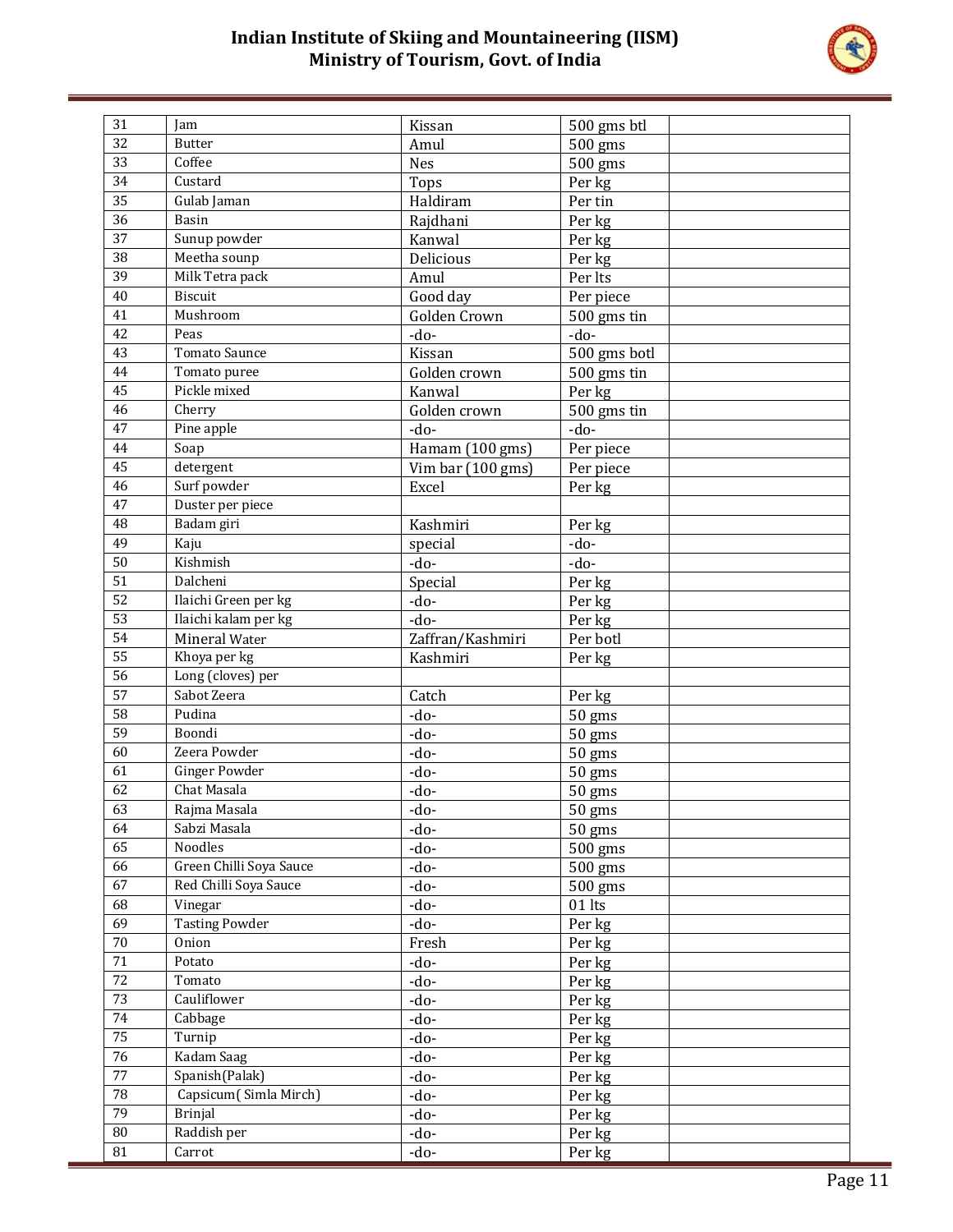

| 31              | Jam                     | Kissan            | 500 gms btl        |  |
|-----------------|-------------------------|-------------------|--------------------|--|
| 32              | <b>Butter</b>           | Amul              | 500 gms            |  |
| 33              | Coffee                  | <b>Nes</b>        | 500 gms            |  |
| 34              | Custard                 | Tops              | Per kg             |  |
| 35              | Gulab Jaman             | Haldiram          | Per tin            |  |
| $\overline{36}$ | Basin                   | Rajdhani          | Per kg             |  |
| 37              | Sunup powder            | Kanwal            | Per kg             |  |
| 38              | Meetha sounp            | Delicious         | Per kg             |  |
| 39              | Milk Tetra pack         | Amul              | Per lts            |  |
| $\overline{40}$ | <b>Biscuit</b>          | Good day          | Per piece          |  |
| 41              | Mushroom                | Golden Crown      | 500 gms tin        |  |
| 42              | Peas                    | -do-              | $-do-$             |  |
| 43              | <b>Tomato Saunce</b>    | Kissan            | 500 gms botl       |  |
| 44              | Tomato puree            | Golden crown      | 500 gms tin        |  |
| 45              | Pickle mixed            | Kanwal            | Per kg             |  |
| 46              | Cherry                  | Golden crown      | 500 gms tin        |  |
| 47              | Pine apple              | $-do-$            | $-do-$             |  |
| 44              | Soap                    | Hamam (100 gms)   | Per piece          |  |
| 45              | detergent               | Vim bar (100 gms) | Per piece          |  |
| 46              | Surf powder             | Excel             | Per kg             |  |
| 47              | Duster per piece        |                   |                    |  |
| 48              | Badam giri              | Kashmiri          | Per kg             |  |
| 49              | Kaju                    | special           | -do-               |  |
| 50              | Kishmish                | $-do-$            | $-do-$             |  |
| $\overline{51}$ | Dalcheni                | Special           | Per kg             |  |
| 52              | Ilaichi Green per kg    | -do-              | Per kg             |  |
| 53              | Ilaichi kalam per kg    | -do-              | Per kg             |  |
| 54              | Mineral Water           | Zaffran/Kashmiri  | Per botl           |  |
| $\overline{55}$ | Khoya per kg            | Kashmiri          | Per kg             |  |
| 56              | Long (cloves) per       |                   |                    |  |
| 57              | Sabot Zeera             | Catch             | Per kg             |  |
| $\overline{58}$ | Pudina                  | -do-              | $50$ gms           |  |
| 59              | Boondi                  | -do-              | $50$ gms           |  |
| 60              | Zeera Powder            | -do-              | 50 gms             |  |
| 61              | Ginger Powder           | -do-              | 50 gms             |  |
| 62              | Chat Masala             | -do-              | 50 gms             |  |
| 63              | Rajma Masala            | -do-              | $50$ gms           |  |
| 64              | Sabzi Masala            | -do-              | 50 gms             |  |
| 65              | Noodles                 | -do-              | 500 gms            |  |
| 66              | Green Chilli Soya Sauce | -do-              | $500$ gms          |  |
| 67              | Red Chilli Soya Sauce   | $-do-$            | 500 gms            |  |
| 68              | Vinegar                 | $-do-$            | $01\,\mathrm{lts}$ |  |
| 69              | <b>Tasting Powder</b>   | $-do-$            | Per kg             |  |
| 70              | Onion                   | Fresh             | Per kg             |  |
| 71              | Potato                  | -do-              | Per kg             |  |
| 72              | Tomato                  | -do-              | Per kg             |  |
| 73              | Cauliflower             | -do-              | Per kg             |  |
| 74              | Cabbage                 | -do-              | Per kg             |  |
| 75              | Turnip                  | -do-              | Per kg             |  |
| $\overline{76}$ | Kadam Saag              | -do-              | Per kg             |  |
| 77              | Spanish(Palak)          | -do-              | Per kg             |  |
| 78              | Capsicum(Simla Mirch)   | -do-              | Per kg             |  |
| 79              | Brinjal                 | -do-              | Per kg             |  |
| 80              | Raddish per             | -do-              | Per kg             |  |
| 81              | Carrot                  | $-do-$            | Per kg             |  |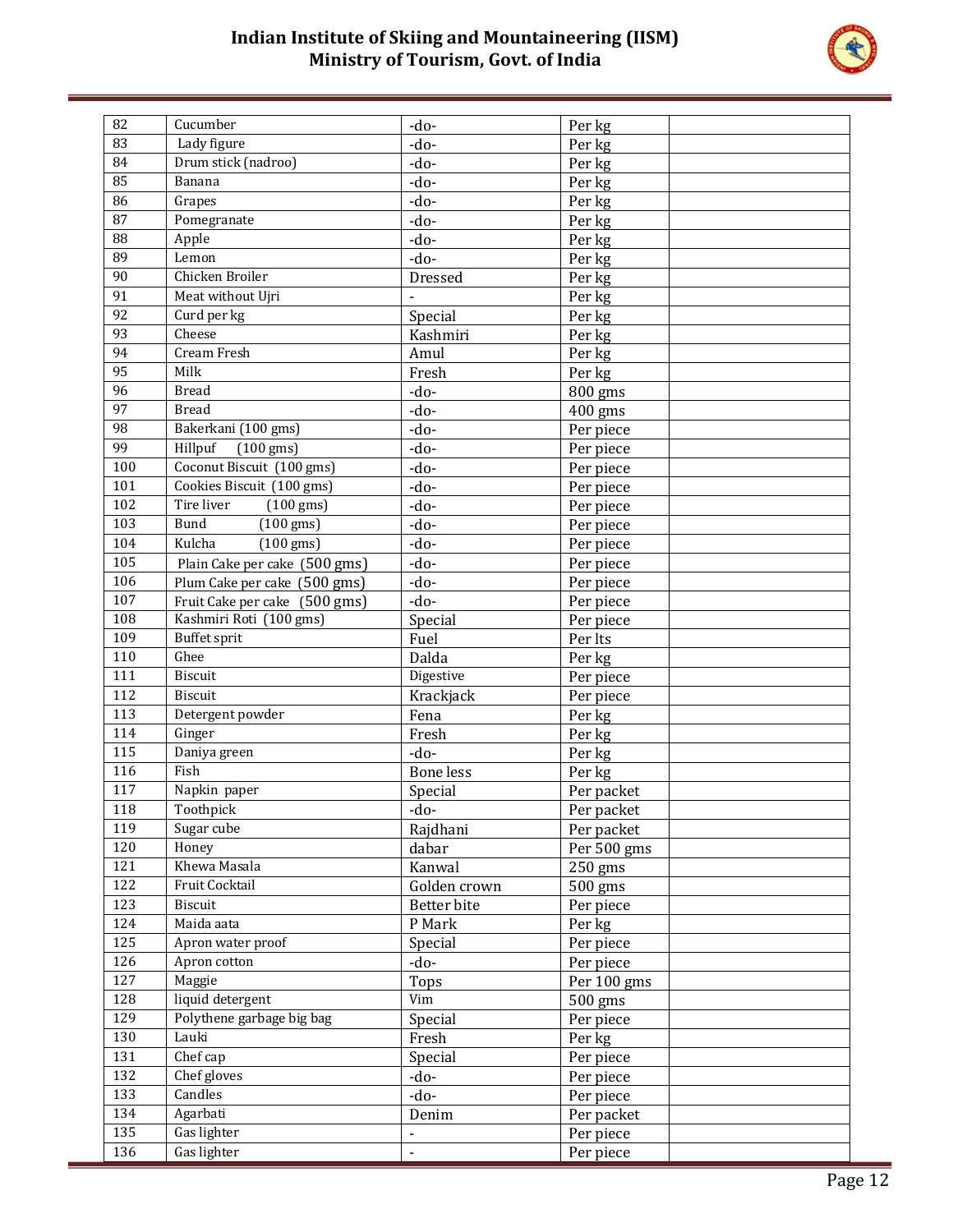

| 82               | Cucumber                           | -do-                        | Per kg                 |
|------------------|------------------------------------|-----------------------------|------------------------|
| 83               | Lady figure                        | -do-                        | Per kg                 |
| 84               | Drum stick (nadroo)                | -do-                        | Per kg                 |
| 85               | Banana                             | -do-                        | Per kg                 |
| 86               | Grapes                             | -do-                        | Per kg                 |
| 87               | Pomegranate                        | -do-                        | Per kg                 |
| $\overline{88}$  | Apple                              | -do-                        | Per kg                 |
| 89               | Lemon                              | $-do-$                      | Per kg                 |
| 90               | Chicken Broiler                    | Dressed                     | Per kg                 |
| $\overline{91}$  | Meat without Ujri                  |                             | Per kg                 |
| 92               | Curd per kg                        | Special                     | Per kg                 |
| 93               | Cheese                             | Kashmiri                    | Per kg                 |
| 94               | Cream Fresh                        | Amul                        | Per kg                 |
| 95               | Milk                               | Fresh                       | Per kg                 |
| 96               | <b>Bread</b>                       | -do-                        | 800 gms                |
| $\overline{97}$  | <b>Bread</b>                       | -do-                        | 400 gms                |
| $\overline{98}$  | Bakerkani (100 gms)                | -do-                        | Per piece              |
| 99               | Hillpuf<br>$(100 \text{ gms})$     | $-do-$                      | Per piece              |
| 100              | Coconut Biscuit (100 gms)          | -do-                        | Per piece              |
| 101              | Cookies Biscuit (100 gms)          | -do-                        | Per piece              |
| 102              | Tire liver<br>$(100 \text{ gms})$  | -do-                        | Per piece              |
| 103              | <b>Bund</b><br>$(100 \text{ gms})$ | -do-                        | Per piece              |
| 104              | Kulcha<br>$(100 \text{ gms})$      | -do-                        | Per piece              |
| 105              | Plain Cake per cake (500 gms)      | -do-                        | Per piece              |
| 106              | Plum Cake per cake (500 gms)       | -do-                        | Per piece              |
| 107              | Fruit Cake per cake (500 gms)      | -do-                        | Per piece              |
| 108              | Kashmiri Roti (100 gms)            | Special                     | Per piece              |
| 109              | <b>Buffet</b> sprit                | Fuel                        | Per lts                |
| 110              | Ghee                               | Dalda                       | Per kg                 |
| 111              | <b>Biscuit</b>                     | Digestive                   | Per piece              |
| 112              | <b>Biscuit</b>                     | Krackjack                   | Per piece              |
| $\overline{113}$ | Detergent powder                   | Fena                        | Per kg                 |
| 114              | Ginger                             | Fresh                       | Per kg                 |
| 115              | Daniya green                       | -do-                        | Per kg                 |
| 116              | Fish                               | <b>Bone less</b>            | Per kg                 |
| 117              | Napkin paper                       | Special                     | Per packet             |
| 118<br>119       | Toothpick<br>Sugar cube            | -do-                        | Per packet             |
| 120              | Honey                              | Rajdhani                    | Per packet             |
| 121              | Khewa Masala                       | dabar                       | Per 500 gms            |
| 122              | Fruit Cocktail                     | Kanwal                      | $250$ gms              |
| 123              | Biscuit                            | Golden crown<br>Better bite | $500$ gms<br>Per piece |
| 124              | Maida aata                         | P Mark                      | Per kg                 |
| 125              | Apron water proof                  | Special                     | Per piece              |
| 126              | Apron cotton                       | -do-                        | Per piece              |
| 127              | Maggie                             | Tops                        | Per 100 gms            |
| 128              | liquid detergent                   | Vim                         | $500$ gms              |
| 129              | Polythene garbage big bag          | Special                     | Per piece              |
| 130              | Lauki                              | Fresh                       | Per kg                 |
| 131              | Chef cap                           | Special                     | Per piece              |
| 132              | Chef gloves                        | -do-                        | Per piece              |
| 133              | Candles                            | -do-                        | Per piece              |
| 134              | Agarbati                           | Denim                       | Per packet             |
| 135              | Gas lighter                        |                             | Per piece              |
| 136              | Gas lighter                        | $\blacksquare$              | Per piece              |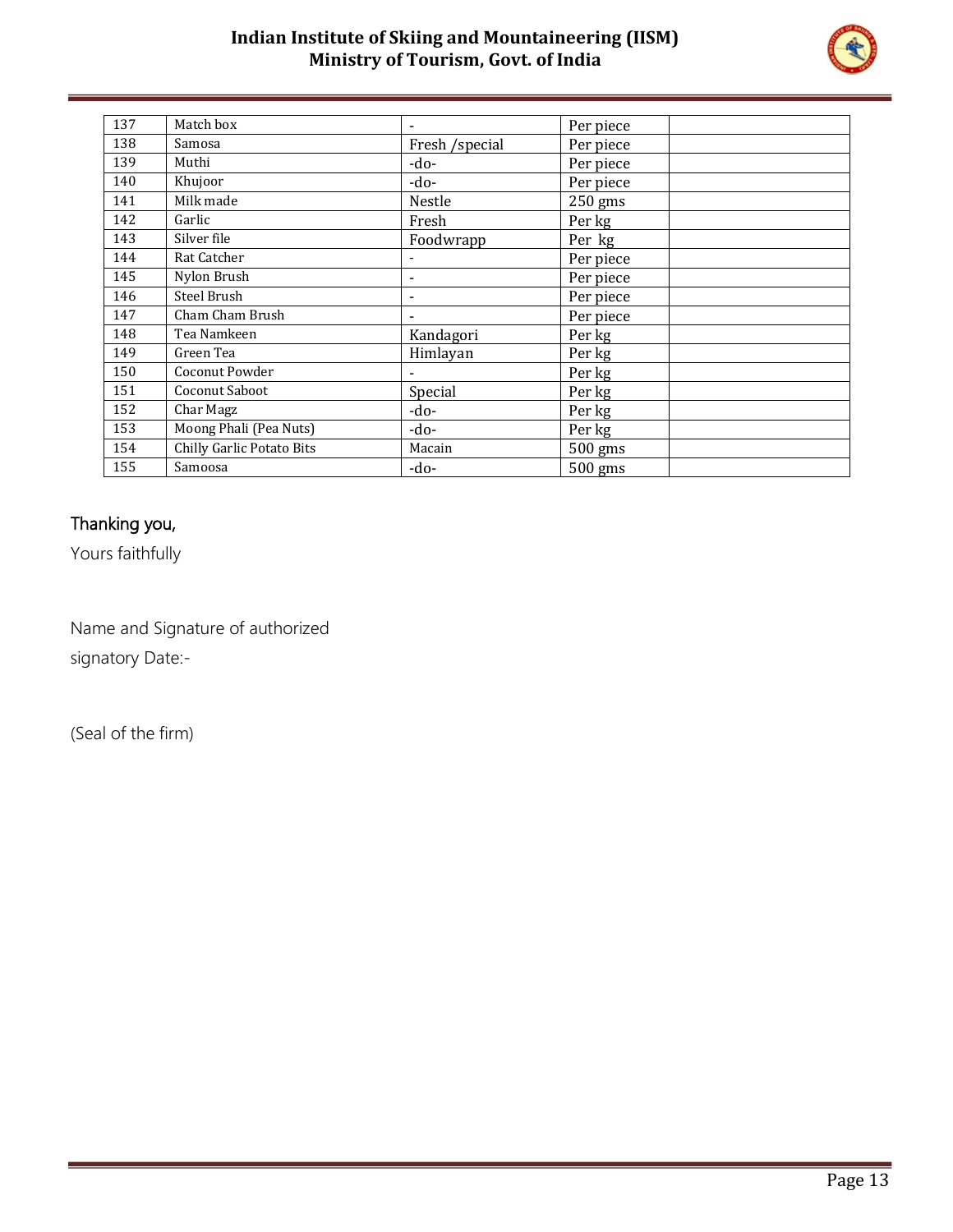

| 137 | Match box                 |                          |           |
|-----|---------------------------|--------------------------|-----------|
|     |                           | $\overline{\phantom{a}}$ | Per piece |
| 138 | Samosa                    | Fresh /special           | Per piece |
| 139 | Muthi                     | -do-                     | Per piece |
| 140 | Khujoor                   | -do-                     | Per piece |
| 141 | Milk made                 | Nestle                   | 250 gms   |
| 142 | Garlic                    | Fresh                    | Per kg    |
| 143 | Silver file               | Foodwrapp                | Per kg    |
| 144 | Rat Catcher               |                          | Per piece |
| 145 | Nylon Brush               | $\overline{\phantom{a}}$ | Per piece |
| 146 | Steel Brush               |                          | Per piece |
| 147 | Cham Cham Brush           |                          | Per piece |
| 148 | Tea Namkeen               | Kandagori                | Per kg    |
| 149 | Green Tea                 | Himlayan                 | Per kg    |
| 150 | Coconut Powder            |                          | Per kg    |
| 151 | Coconut Saboot            | Special                  | Per kg    |
| 152 | Char Magz                 | -do-                     | Per kg    |
| 153 | Moong Phali (Pea Nuts)    | -do-                     | Per kg    |
| 154 | Chilly Garlic Potato Bits | Macain                   | $500$ gms |
| 155 | Samoosa                   | $-do-$                   | 500 gms   |

# Thanking you,

Yours faithfully

Name and Signature of authorized signatory Date:-

(Seal of the firm)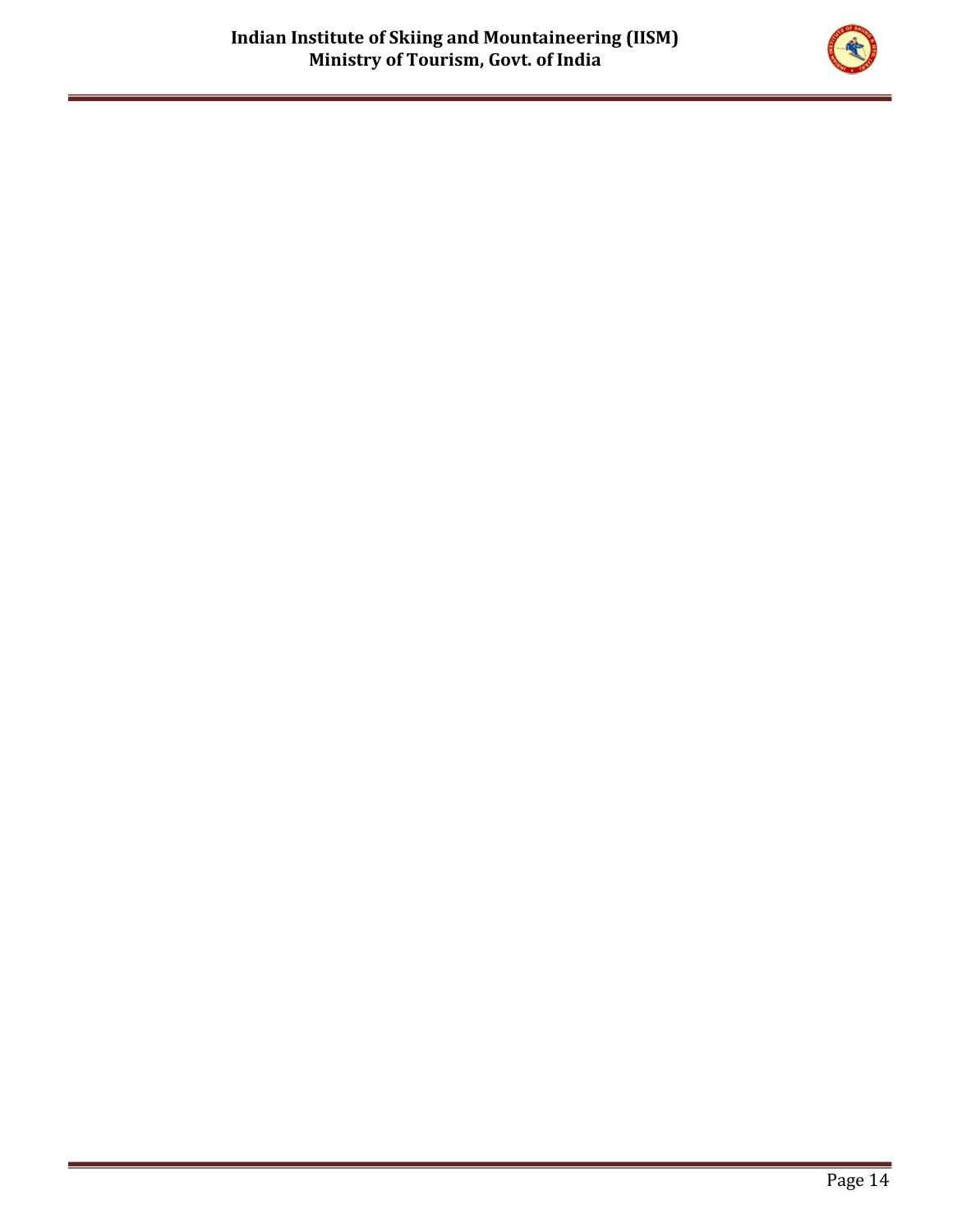